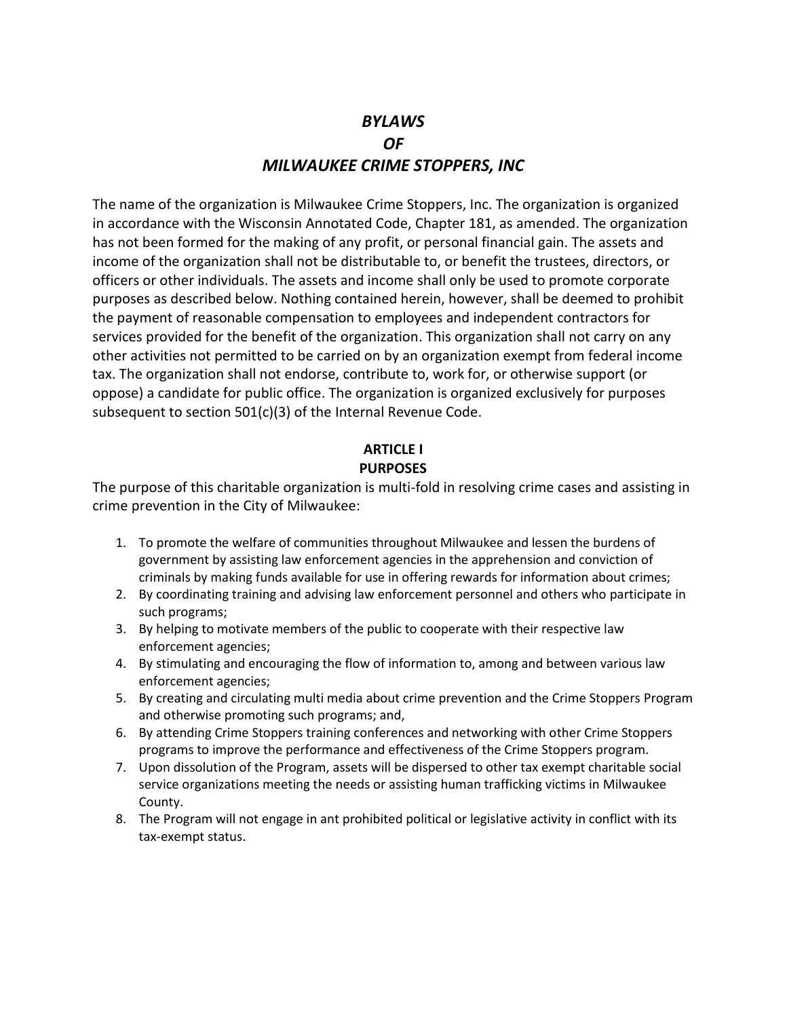# *BYLAWS OF MILWAUKEE CRIME STOPPERS, INC*

The name of the organization is Milwaukee Crime Stoppers, Inc. The organization is organized in accordance with the Wisconsin Annotated Code, Chapter 181, as amended. The organization has not been formed for the making of any profit, or personal financial gain. The assets and income of the organization shall not be distributable to, or benefit the trustees, directors, or officers or other individuals. The assets and income shall only be used to promote corporate purposes as described below. Nothing contained herein, however, shall be deemed to prohibit the payment of reasonable compensation to employees and independent contractors for services provided for the benefit of the organization. This organization shall not carry on any other activities not permitted to be carried on by an organization exempt from federal income tax. The organization shall not endorse, contribute to, work for, or otherwise support (or oppose) a candidate for public office. The organization is organized exclusively for purposes subsequent to section 501(c)(3) of the Internal Revenue Code.

#### **ARTICLE I PURPOSES**

The purpose of this charitable organization is multi-fold in resolving crime cases and assisting in crime prevention in the City of Milwaukee:

- 1. To promote the welfare of communities throughout Milwaukee and lessen the burdens of government by assisting law enforcement agencies in the apprehension and conviction of criminals by making funds available for use in offering rewards for information about crimes;
- 2. By coordinating training and advising law enforcement personnel and others who participate in such programs;
- 3. By helping to motivate members of the public to cooperate with their respective law enforcement agencies;
- 4. By stimulating and encouraging the flow of information to, among and between various law enforcement agencies;
- 5. By creating and circulating multi media about crime prevention and the Crime Stoppers Program and otherwise promoting such programs; and,
- 6. By attending Crime Stoppers training conferences and networking with other Crime Stoppers programs to improve the performance and effectiveness of the Crime Stoppers program.
- 7. Upon dissolution of the Program, assets will be dispersed to other tax exempt charitable social service organizations meeting the needs or assisting human trafficking victims in Milwaukee County.
- 8. The Program will not engage in ant prohibited political or legislative activity in conflict with its tax-exempt status.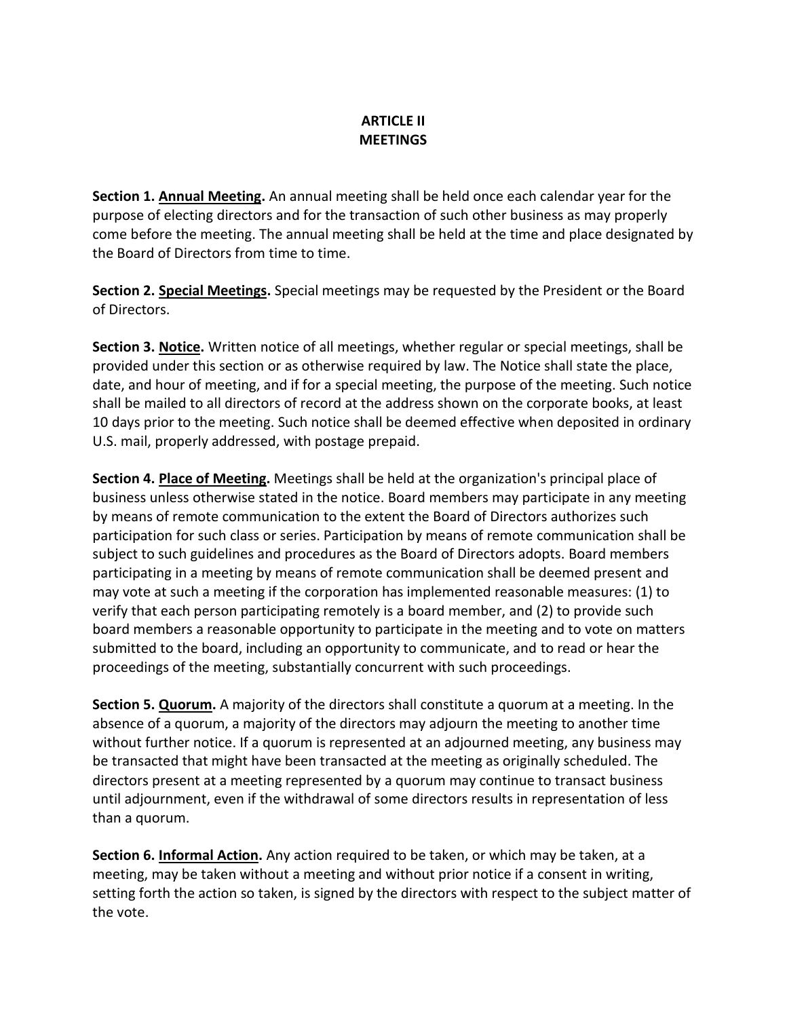### **ARTICLE II MEETINGS**

**Section 1. Annual Meeting.** An annual meeting shall be held once each calendar year for the purpose of electing directors and for the transaction of such other business as may properly come before the meeting. The annual meeting shall be held at the time and place designated by the Board of Directors from time to time.

**Section 2. Special Meetings.** Special meetings may be requested by the President or the Board of Directors.

**Section 3. Notice.** Written notice of all meetings, whether regular or special meetings, shall be provided under this section or as otherwise required by law. The Notice shall state the place, date, and hour of meeting, and if for a special meeting, the purpose of the meeting. Such notice shall be mailed to all directors of record at the address shown on the corporate books, at least 10 days prior to the meeting. Such notice shall be deemed effective when deposited in ordinary U.S. mail, properly addressed, with postage prepaid.

**Section 4. Place of Meeting.** Meetings shall be held at the organization's principal place of business unless otherwise stated in the notice. Board members may participate in any meeting by means of remote communication to the extent the Board of Directors authorizes such participation for such class or series. Participation by means of remote communication shall be subject to such guidelines and procedures as the Board of Directors adopts. Board members participating in a meeting by means of remote communication shall be deemed present and may vote at such a meeting if the corporation has implemented reasonable measures: (1) to verify that each person participating remotely is a board member, and (2) to provide such board members a reasonable opportunity to participate in the meeting and to vote on matters submitted to the board, including an opportunity to communicate, and to read or hear the proceedings of the meeting, substantially concurrent with such proceedings.

**Section 5. Quorum.** A majority of the directors shall constitute a quorum at a meeting. In the absence of a quorum, a majority of the directors may adjourn the meeting to another time without further notice. If a quorum is represented at an adjourned meeting, any business may be transacted that might have been transacted at the meeting as originally scheduled. The directors present at a meeting represented by a quorum may continue to transact business until adjournment, even if the withdrawal of some directors results in representation of less than a quorum.

**Section 6. Informal Action.** Any action required to be taken, or which may be taken, at a meeting, may be taken without a meeting and without prior notice if a consent in writing, setting forth the action so taken, is signed by the directors with respect to the subject matter of the vote.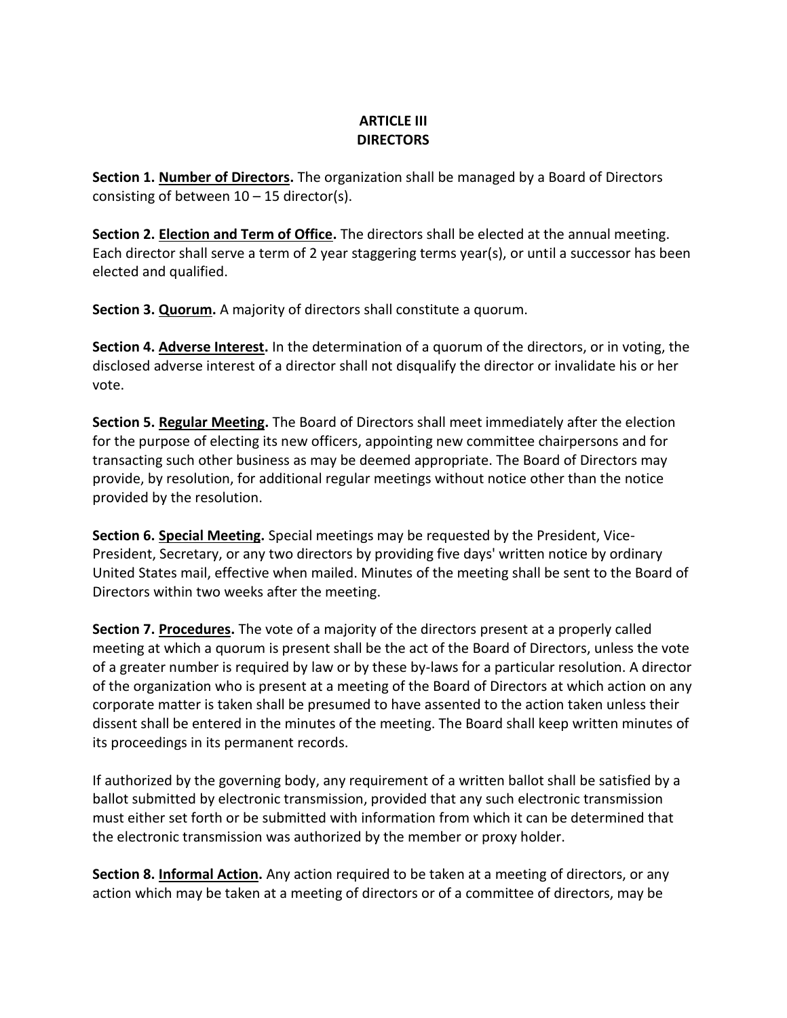## **ARTICLE III DIRECTORS**

**Section 1. Number of Directors.** The organization shall be managed by a Board of Directors consisting of between  $10 - 15$  director(s).

**Section 2. Election and Term of Office.** The directors shall be elected at the annual meeting. Each director shall serve a term of 2 year staggering terms year(s), or until a successor has been elected and qualified.

**Section 3. Quorum.** A majority of directors shall constitute a quorum.

**Section 4. Adverse Interest.** In the determination of a quorum of the directors, or in voting, the disclosed adverse interest of a director shall not disqualify the director or invalidate his or her vote.

**Section 5. Regular Meeting.** The Board of Directors shall meet immediately after the election for the purpose of electing its new officers, appointing new committee chairpersons and for transacting such other business as may be deemed appropriate. The Board of Directors may provide, by resolution, for additional regular meetings without notice other than the notice provided by the resolution.

**Section 6. Special Meeting.** Special meetings may be requested by the President, Vice-President, Secretary, or any two directors by providing five days' written notice by ordinary United States mail, effective when mailed. Minutes of the meeting shall be sent to the Board of Directors within two weeks after the meeting.

**Section 7. Procedures.** The vote of a majority of the directors present at a properly called meeting at which a quorum is present shall be the act of the Board of Directors, unless the vote of a greater number is required by law or by these by-laws for a particular resolution. A director of the organization who is present at a meeting of the Board of Directors at which action on any corporate matter is taken shall be presumed to have assented to the action taken unless their dissent shall be entered in the minutes of the meeting. The Board shall keep written minutes of its proceedings in its permanent records.

If authorized by the governing body, any requirement of a written ballot shall be satisfied by a ballot submitted by electronic transmission, provided that any such electronic transmission must either set forth or be submitted with information from which it can be determined that the electronic transmission was authorized by the member or proxy holder.

**Section 8. Informal Action.** Any action required to be taken at a meeting of directors, or any action which may be taken at a meeting of directors or of a committee of directors, may be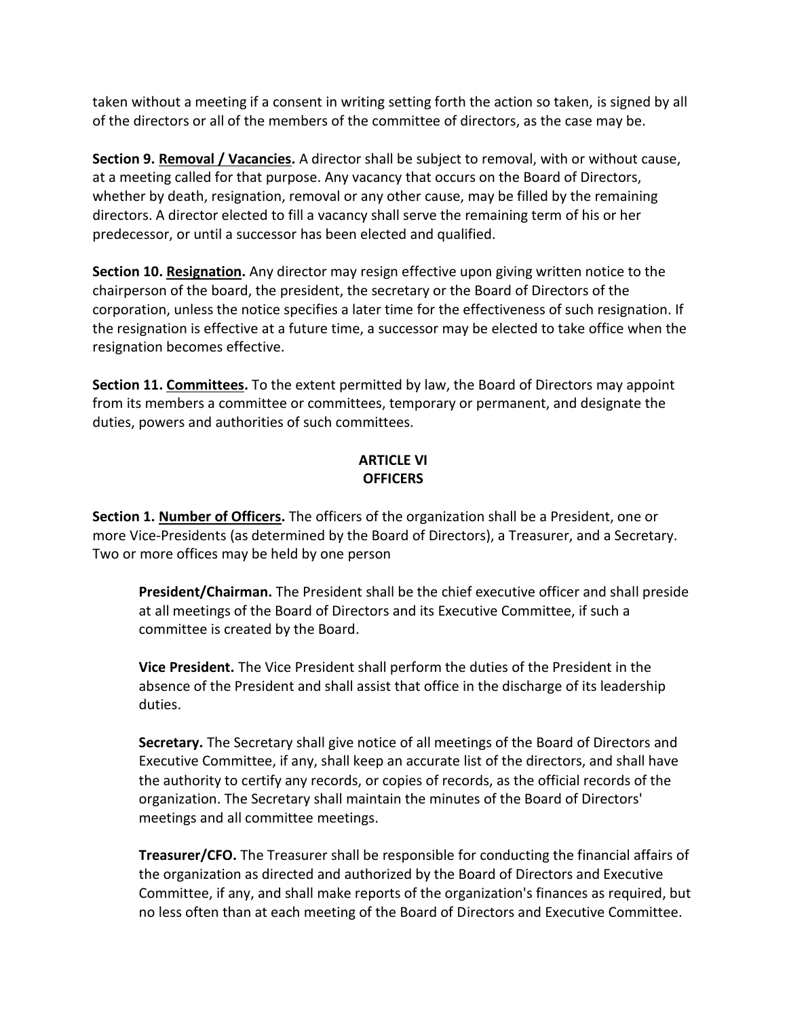taken without a meeting if a consent in writing setting forth the action so taken, is signed by all of the directors or all of the members of the committee of directors, as the case may be.

**Section 9. Removal / Vacancies.** A director shall be subject to removal, with or without cause, at a meeting called for that purpose. Any vacancy that occurs on the Board of Directors, whether by death, resignation, removal or any other cause, may be filled by the remaining directors. A director elected to fill a vacancy shall serve the remaining term of his or her predecessor, or until a successor has been elected and qualified.

**Section 10. Resignation.** Any director may resign effective upon giving written notice to the chairperson of the board, the president, the secretary or the Board of Directors of the corporation, unless the notice specifies a later time for the effectiveness of such resignation. If the resignation is effective at a future time, a successor may be elected to take office when the resignation becomes effective.

**Section 11. Committees.** To the extent permitted by law, the Board of Directors may appoint from its members a committee or committees, temporary or permanent, and designate the duties, powers and authorities of such committees.

# **ARTICLE VI OFFICERS**

**Section 1. Number of Officers.** The officers of the organization shall be a President, one or more Vice-Presidents (as determined by the Board of Directors), a Treasurer, and a Secretary. Two or more offices may be held by one person

**President/Chairman.** The President shall be the chief executive officer and shall preside at all meetings of the Board of Directors and its Executive Committee, if such a committee is created by the Board.

**Vice President.** The Vice President shall perform the duties of the President in the absence of the President and shall assist that office in the discharge of its leadership duties.

**Secretary.** The Secretary shall give notice of all meetings of the Board of Directors and Executive Committee, if any, shall keep an accurate list of the directors, and shall have the authority to certify any records, or copies of records, as the official records of the organization. The Secretary shall maintain the minutes of the Board of Directors' meetings and all committee meetings.

**Treasurer/CFO.** The Treasurer shall be responsible for conducting the financial affairs of the organization as directed and authorized by the Board of Directors and Executive Committee, if any, and shall make reports of the organization's finances as required, but no less often than at each meeting of the Board of Directors and Executive Committee.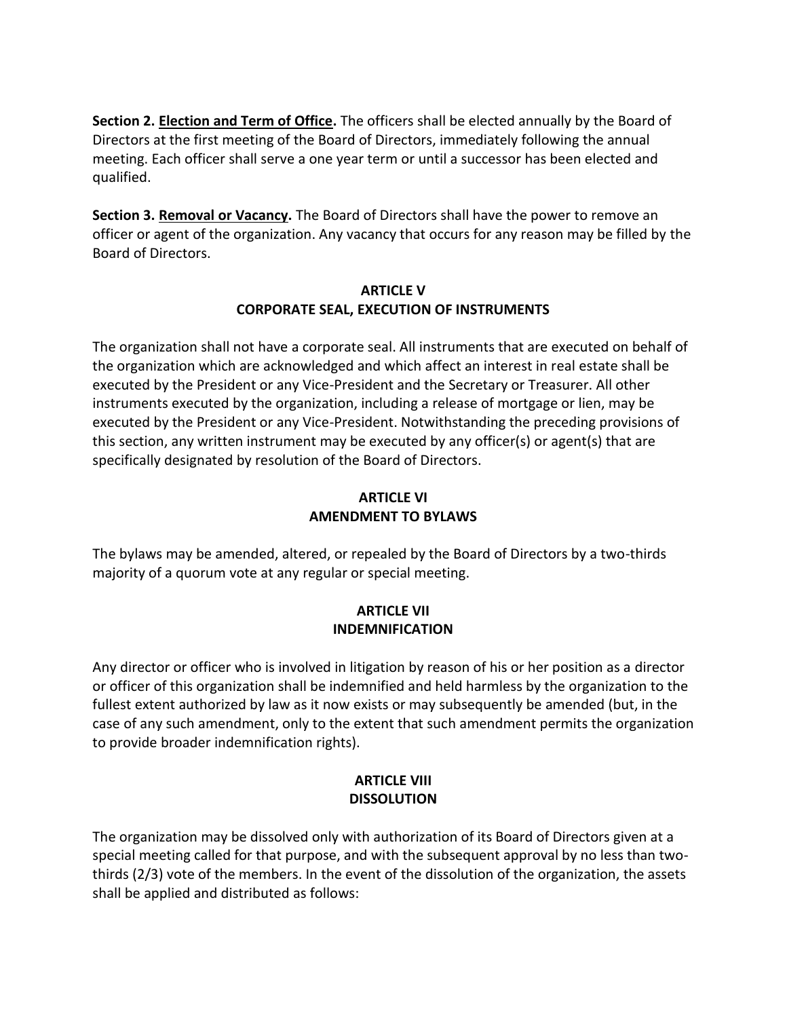**Section 2. Election and Term of Office.** The officers shall be elected annually by the Board of Directors at the first meeting of the Board of Directors, immediately following the annual meeting. Each officer shall serve a one year term or until a successor has been elected and qualified.

**Section 3. Removal or Vacancy.** The Board of Directors shall have the power to remove an officer or agent of the organization. Any vacancy that occurs for any reason may be filled by the Board of Directors.

#### **ARTICLE V CORPORATE SEAL, EXECUTION OF INSTRUMENTS**

The organization shall not have a corporate seal. All instruments that are executed on behalf of the organization which are acknowledged and which affect an interest in real estate shall be executed by the President or any Vice-President and the Secretary or Treasurer. All other instruments executed by the organization, including a release of mortgage or lien, may be executed by the President or any Vice-President. Notwithstanding the preceding provisions of this section, any written instrument may be executed by any officer(s) or agent(s) that are specifically designated by resolution of the Board of Directors.

# **ARTICLE VI AMENDMENT TO BYLAWS**

The bylaws may be amended, altered, or repealed by the Board of Directors by a two-thirds majority of a quorum vote at any regular or special meeting.

# **ARTICLE VII INDEMNIFICATION**

Any director or officer who is involved in litigation by reason of his or her position as a director or officer of this organization shall be indemnified and held harmless by the organization to the fullest extent authorized by law as it now exists or may subsequently be amended (but, in the case of any such amendment, only to the extent that such amendment permits the organization to provide broader indemnification rights).

## **ARTICLE VIII DISSOLUTION**

The organization may be dissolved only with authorization of its Board of Directors given at a special meeting called for that purpose, and with the subsequent approval by no less than twothirds (2/3) vote of the members. In the event of the dissolution of the organization, the assets shall be applied and distributed as follows: